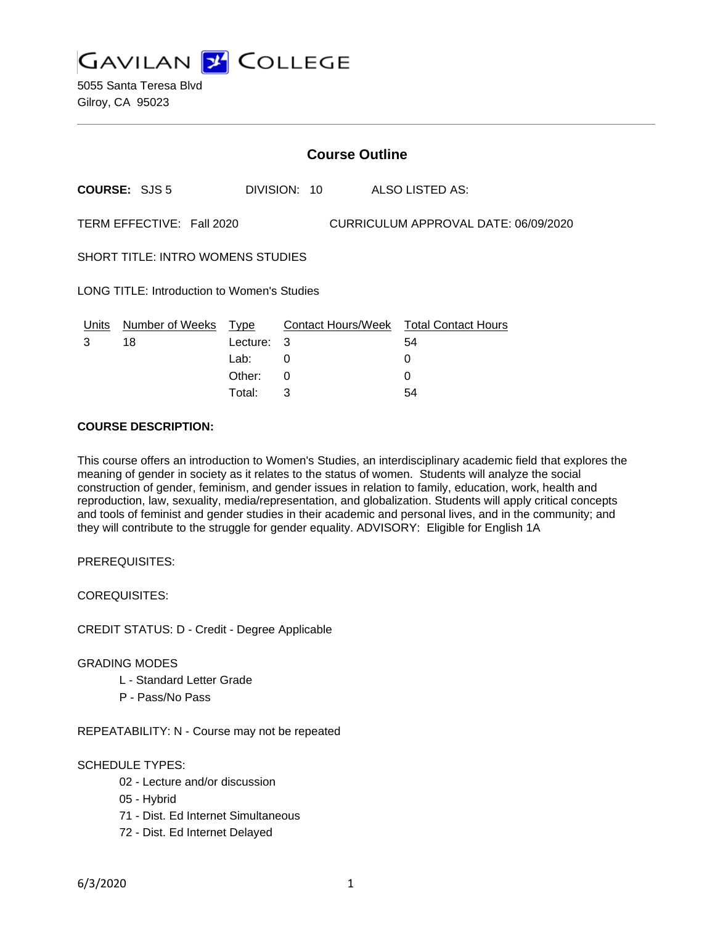

|                                                                   | <b>Course Outline</b>      |          |              |                                        |  |  |
|-------------------------------------------------------------------|----------------------------|----------|--------------|----------------------------------------|--|--|
|                                                                   | <b>COURSE: SJS 5</b>       |          | DIVISION: 10 | ALSO LISTED AS:                        |  |  |
| TERM EFFECTIVE: Fall 2020<br>CURRICULUM APPROVAL DATE: 06/09/2020 |                            |          |              |                                        |  |  |
| <b>SHORT TITLE: INTRO WOMENS STUDIES</b>                          |                            |          |              |                                        |  |  |
| LONG TITLE: Introduction to Women's Studies                       |                            |          |              |                                        |  |  |
|                                                                   | Units Number of Weeks Type |          |              | Contact Hours/Week Total Contact Hours |  |  |
| 3                                                                 | 18                         | Lecture: | 3            | 54                                     |  |  |
|                                                                   |                            | Lab:     | 0            | 0                                      |  |  |
|                                                                   |                            | Other:   | 0            | 0                                      |  |  |
|                                                                   |                            | Total:   | 3            | 54                                     |  |  |

## **COURSE DESCRIPTION:**

This course offers an introduction to Women's Studies, an interdisciplinary academic field that explores the meaning of gender in society as it relates to the status of women. Students will analyze the social construction of gender, feminism, and gender issues in relation to family, education, work, health and reproduction, law, sexuality, media/representation, and globalization. Students will apply critical concepts and tools of feminist and gender studies in their academic and personal lives, and in the community; and they will contribute to the struggle for gender equality. ADVISORY: Eligible for English 1A

PREREQUISITES:

COREQUISITES:

CREDIT STATUS: D - Credit - Degree Applicable

### GRADING MODES

- L Standard Letter Grade
- P Pass/No Pass

REPEATABILITY: N - Course may not be repeated

### SCHEDULE TYPES:

- 02 Lecture and/or discussion
- 05 Hybrid
- 71 Dist. Ed Internet Simultaneous
- 72 Dist. Ed Internet Delayed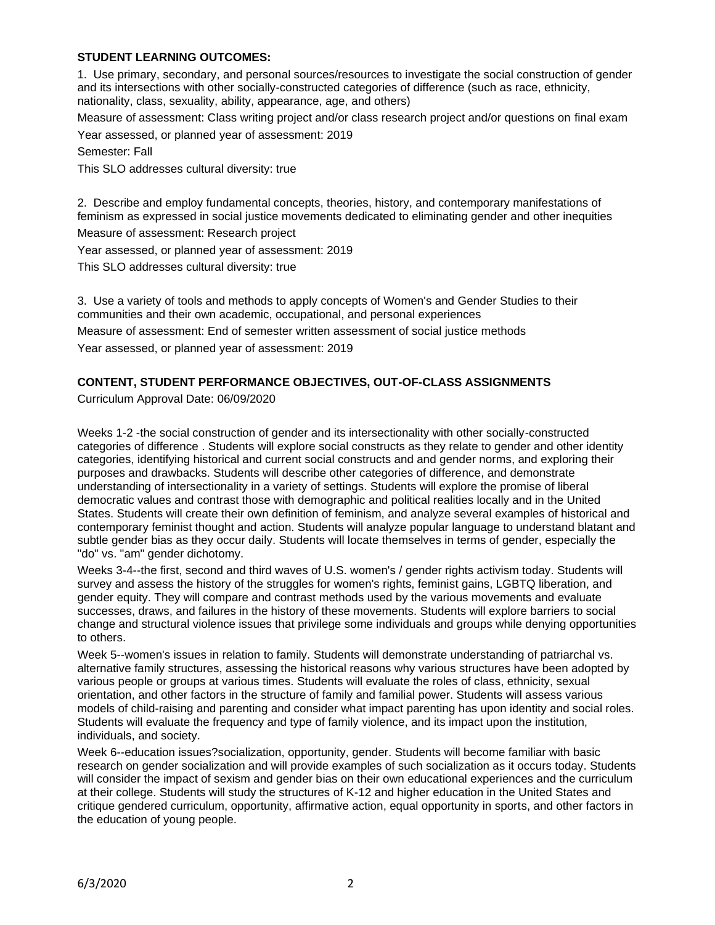# **STUDENT LEARNING OUTCOMES:**

1. Use primary, secondary, and personal sources/resources to investigate the social construction of gender and its intersections with other socially-constructed categories of difference (such as race, ethnicity, nationality, class, sexuality, ability, appearance, age, and others)

Measure of assessment: Class writing project and/or class research project and/or questions on final exam

Year assessed, or planned year of assessment: 2019

Semester: Fall

This SLO addresses cultural diversity: true

2. Describe and employ fundamental concepts, theories, history, and contemporary manifestations of feminism as expressed in social justice movements dedicated to eliminating gender and other inequities

Measure of assessment: Research project

Year assessed, or planned year of assessment: 2019

This SLO addresses cultural diversity: true

3. Use a variety of tools and methods to apply concepts of Women's and Gender Studies to their communities and their own academic, occupational, and personal experiences

Measure of assessment: End of semester written assessment of social justice methods Year assessed, or planned year of assessment: 2019

# **CONTENT, STUDENT PERFORMANCE OBJECTIVES, OUT-OF-CLASS ASSIGNMENTS**

Curriculum Approval Date: 06/09/2020

Weeks 1-2 -the social construction of gender and its intersectionality with other socially-constructed categories of difference . Students will explore social constructs as they relate to gender and other identity categories, identifying historical and current social constructs and and gender norms, and exploring their purposes and drawbacks. Students will describe other categories of difference, and demonstrate understanding of intersectionality in a variety of settings. Students will explore the promise of liberal democratic values and contrast those with demographic and political realities locally and in the United States. Students will create their own definition of feminism, and analyze several examples of historical and contemporary feminist thought and action. Students will analyze popular language to understand blatant and subtle gender bias as they occur daily. Students will locate themselves in terms of gender, especially the "do" vs. "am" gender dichotomy.

Weeks 3-4--the first, second and third waves of U.S. women's / gender rights activism today. Students will survey and assess the history of the struggles for women's rights, feminist gains, LGBTQ liberation, and gender equity. They will compare and contrast methods used by the various movements and evaluate successes, draws, and failures in the history of these movements. Students will explore barriers to social change and structural violence issues that privilege some individuals and groups while denying opportunities to others.

Week 5--women's issues in relation to family. Students will demonstrate understanding of patriarchal vs. alternative family structures, assessing the historical reasons why various structures have been adopted by various people or groups at various times. Students will evaluate the roles of class, ethnicity, sexual orientation, and other factors in the structure of family and familial power. Students will assess various models of child-raising and parenting and consider what impact parenting has upon identity and social roles. Students will evaluate the frequency and type of family violence, and its impact upon the institution, individuals, and society.

Week 6--education issues?socialization, opportunity, gender. Students will become familiar with basic research on gender socialization and will provide examples of such socialization as it occurs today. Students will consider the impact of sexism and gender bias on their own educational experiences and the curriculum at their college. Students will study the structures of K-12 and higher education in the United States and critique gendered curriculum, opportunity, affirmative action, equal opportunity in sports, and other factors in the education of young people.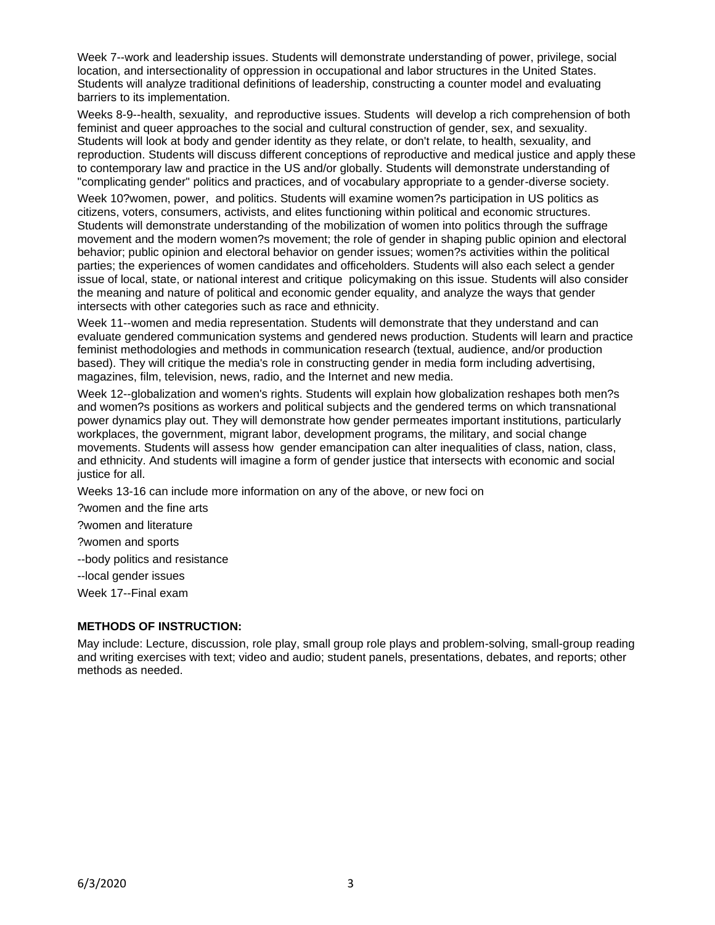Week 7--work and leadership issues. Students will demonstrate understanding of power, privilege, social location, and intersectionality of oppression in occupational and labor structures in the United States. Students will analyze traditional definitions of leadership, constructing a counter model and evaluating barriers to its implementation.

Weeks 8-9--health, sexuality, and reproductive issues. Students will develop a rich comprehension of both feminist and queer approaches to the social and cultural construction of gender, sex, and sexuality. Students will look at body and gender identity as they relate, or don't relate, to health, sexuality, and reproduction. Students will discuss different conceptions of reproductive and medical justice and apply these to contemporary law and practice in the US and/or globally. Students will demonstrate understanding of "complicating gender" politics and practices, and of vocabulary appropriate to a gender-diverse society.

Week 10?women, power, and politics. Students will examine women?s participation in US politics as citizens, voters, consumers, activists, and elites functioning within political and economic structures. Students will demonstrate understanding of the mobilization of women into politics through the suffrage movement and the modern women?s movement; the role of gender in shaping public opinion and electoral behavior; public opinion and electoral behavior on gender issues; women?s activities within the political parties; the experiences of women candidates and officeholders. Students will also each select a gender issue of local, state, or national interest and critique policymaking on this issue. Students will also consider the meaning and nature of political and economic gender equality, and analyze the ways that gender intersects with other categories such as race and ethnicity.

Week 11--women and media representation. Students will demonstrate that they understand and can evaluate gendered communication systems and gendered news production. Students will learn and practice feminist methodologies and methods in communication research (textual, audience, and/or production based). They will critique the media's role in constructing gender in media form including advertising, magazines, film, television, news, radio, and the Internet and new media.

Week 12--globalization and women's rights. Students will explain how globalization reshapes both men?s and women?s positions as workers and political subjects and the gendered terms on which transnational power dynamics play out. They will demonstrate how gender permeates important institutions, particularly workplaces, the government, migrant labor, development programs, the military, and social change movements. Students will assess how gender emancipation can alter inequalities of class, nation, class, and ethnicity. And students will imagine a form of gender justice that intersects with economic and social justice for all.

Weeks 13-16 can include more information on any of the above, or new foci on

?women and the fine arts

?women and literature

?women and sports

--body politics and resistance

--local gender issues

Week 17--Final exam

# **METHODS OF INSTRUCTION:**

May include: Lecture, discussion, role play, small group role plays and problem-solving, small-group reading and writing exercises with text; video and audio; student panels, presentations, debates, and reports; other methods as needed.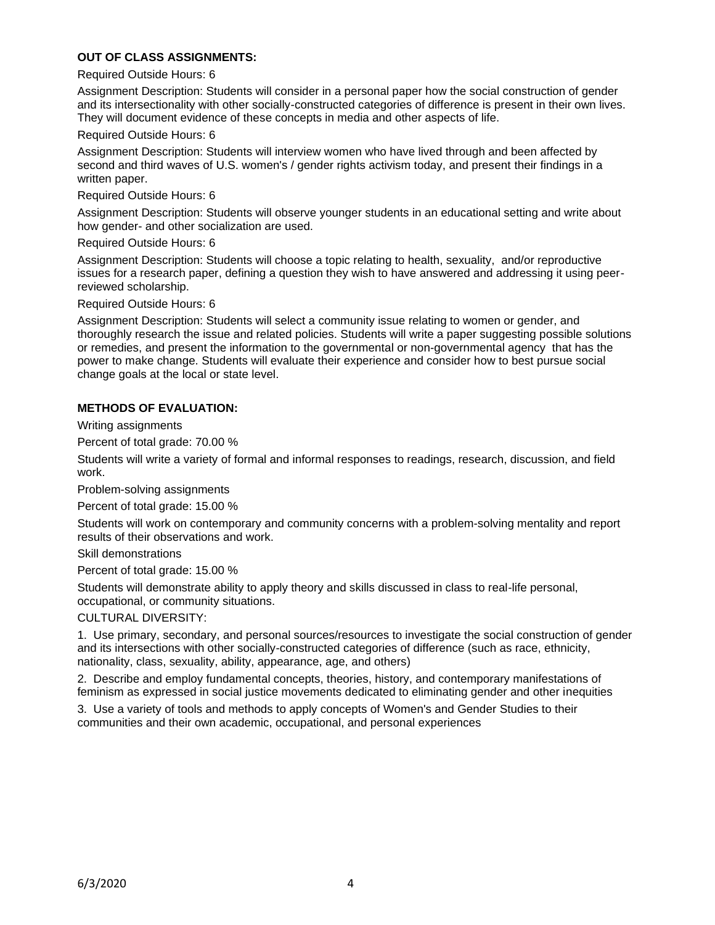# **OUT OF CLASS ASSIGNMENTS:**

### Required Outside Hours: 6

Assignment Description: Students will consider in a personal paper how the social construction of gender and its intersectionality with other socially-constructed categories of difference is present in their own lives. They will document evidence of these concepts in media and other aspects of life.

#### Required Outside Hours: 6

Assignment Description: Students will interview women who have lived through and been affected by second and third waves of U.S. women's / gender rights activism today, and present their findings in a written paper.

#### Required Outside Hours: 6

Assignment Description: Students will observe younger students in an educational setting and write about how gender- and other socialization are used.

#### Required Outside Hours: 6

Assignment Description: Students will choose a topic relating to health, sexuality, and/or reproductive issues for a research paper, defining a question they wish to have answered and addressing it using peerreviewed scholarship.

Required Outside Hours: 6

Assignment Description: Students will select a community issue relating to women or gender, and thoroughly research the issue and related policies. Students will write a paper suggesting possible solutions or remedies, and present the information to the governmental or non-governmental agency that has the power to make change. Students will evaluate their experience and consider how to best pursue social change goals at the local or state level.

## **METHODS OF EVALUATION:**

Writing assignments

Percent of total grade: 70.00 %

Students will write a variety of formal and informal responses to readings, research, discussion, and field work.

Problem-solving assignments

Percent of total grade: 15.00 %

Students will work on contemporary and community concerns with a problem-solving mentality and report results of their observations and work.

Skill demonstrations

Percent of total grade: 15.00 %

Students will demonstrate ability to apply theory and skills discussed in class to real-life personal, occupational, or community situations.

CULTURAL DIVERSITY:

1. Use primary, secondary, and personal sources/resources to investigate the social construction of gender and its intersections with other socially-constructed categories of difference (such as race, ethnicity, nationality, class, sexuality, ability, appearance, age, and others)

2. Describe and employ fundamental concepts, theories, history, and contemporary manifestations of feminism as expressed in social justice movements dedicated to eliminating gender and other inequities

3. Use a variety of tools and methods to apply concepts of Women's and Gender Studies to their communities and their own academic, occupational, and personal experiences